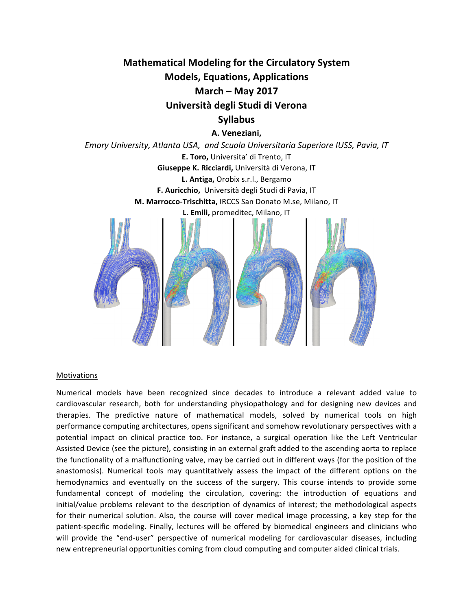**Mathematical Modeling for the Circulatory System Models, Equations, Applications March – May 2017 Università degli Studi di Verona Syllabus**

## **A. Veneziani,**

*Emory University, Atlanta USA, and Scuola Universitaria Superiore IUSS, Pavia, IT* **E. Toro, Universita' di Trento, IT Giuseppe K. Ricciardi, Università di Verona, IT L. Antiga, Orobix s.r.l., Bergamo F.** Auricchio, Università degli Studi di Pavia, IT **M. Marrocco-Trischitta, IRCCS San Donato M.se, Milano, IT** L. Emili, promeditec, Milano, IT



#### Motivations

Numerical models have been recognized since decades to introduce a relevant added value to cardiovascular research, both for understanding physiopathology and for designing new devices and therapies. The predictive nature of mathematical models, solved by numerical tools on high performance computing architectures, opens significant and somehow revolutionary perspectives with a potential impact on clinical practice too. For instance, a surgical operation like the Left Ventricular Assisted Device (see the picture), consisting in an external graft added to the ascending aorta to replace the functionality of a malfunctioning valve, may be carried out in different ways (for the position of the anastomosis). Numerical tools may quantitatively assess the impact of the different options on the hemodynamics and eventually on the success of the surgery. This course intends to provide some fundamental concept of modeling the circulation, covering: the introduction of equations and initial/value problems relevant to the description of dynamics of interest; the methodological aspects for their numerical solution. Also, the course will cover medical image processing, a key step for the patient-specific modeling. Finally, lectures will be offered by biomedical engineers and clinicians who will provide the "end-user" perspective of numerical modeling for cardiovascular diseases, including new entrepreneurial opportunities coming from cloud computing and computer aided clinical trials.